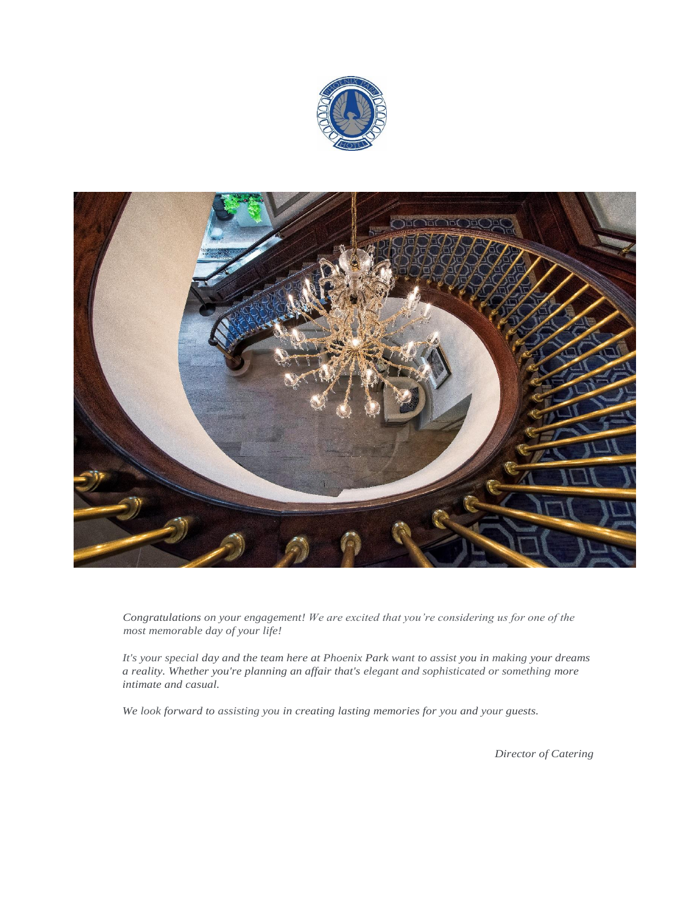



*Congratulations on your engagement! We are excited that you're considering us for one of the most memorable day of your life!*

*It's your special day and the team here at Phoenix Park want to assist you in making your dreams a reality. Whether you're planning an affair that's elegant and sophisticated or something more intimate and casual.*

*We look forward to assisting you in creating lasting memories for you and your guests.*

*Director of Catering*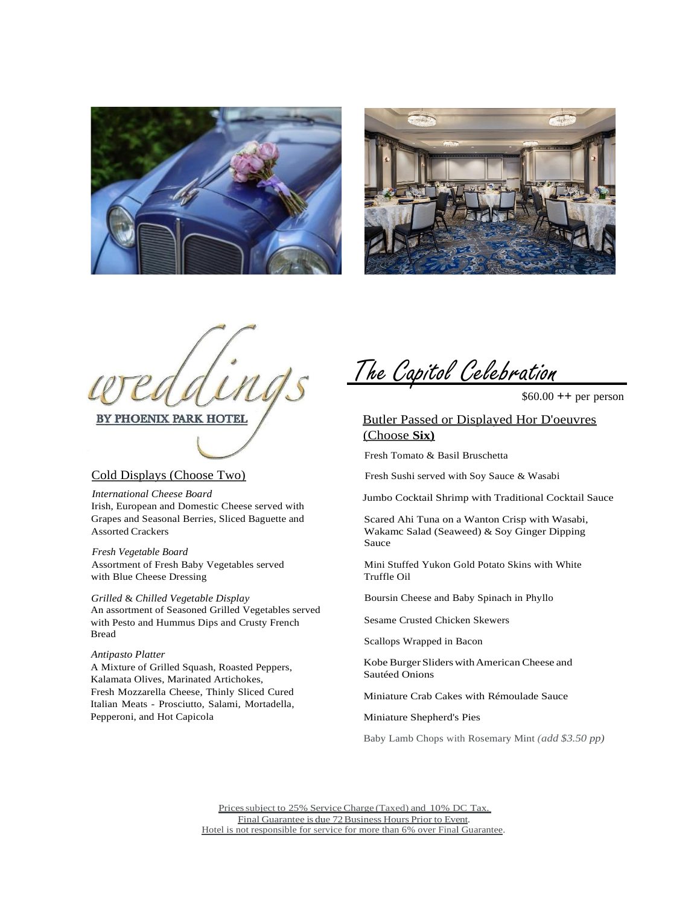



PHOENIX PARK HOTEL

# Cold Displays (Choose Two)

*International Cheese Board* Irish, European and Domestic Cheese served with Grapes and Seasonal Berries, Sliced Baguette and Assorted Crackers

*Fresh Vegetable Board* Assortment of Fresh Baby Vegetables served with Blue Cheese Dressing

*Grilled* & *Chilled Vegetable Display* An assortment of Seasoned Grilled Vegetables served with Pesto and Hummus Dips and Crusty French Bread

### *Antipasto Platter*

A Mixture of Grilled Squash, Roasted Peppers, Kalamata Olives, Marinated Artichokes, Fresh Mozzarella Cheese, Thinly Sliced Cured Italian Meats - Prosciutto, Salami, Mortadella, Pepperoni, and Hot Capicola

The Capitol Celebration

 $$60.00 ++$  per person

# Butler Passed or Displayed Hor D'oeuvres (Choose **Six)**

Fresh Tomato & Basil Bruschetta

Fresh Sushi served with Soy Sauce & Wasabi

Jumbo Cocktail Shrimp with Traditional Cocktail Sauce

Scared Ahi Tuna on a Wanton Crisp with Wasabi, Wakamc Salad (Seaweed) & Soy Ginger Dipping Sauce

Mini Stuffed Yukon Gold Potato Skins with White Truffle Oil

Boursin Cheese and Baby Spinach in Phyllo

Sesame Crusted Chicken Skewers

Scallops Wrapped in Bacon

Kobe Burger SliderswithAmerican Cheese and Sautéed Onions

Miniature Crab Cakes with Rémoulade Sauce

Miniature Shepherd's Pies

Baby Lamb Chops with Rosemary Mint *(add \$3.50 pp)*

Prices subject to 25% Service Charge (Taxed) and 10% DC Tax. Final Guarantee is due 72 Business Hours Prior to Event. Hotel is not responsible for service for more than 6% over Final Guarantee.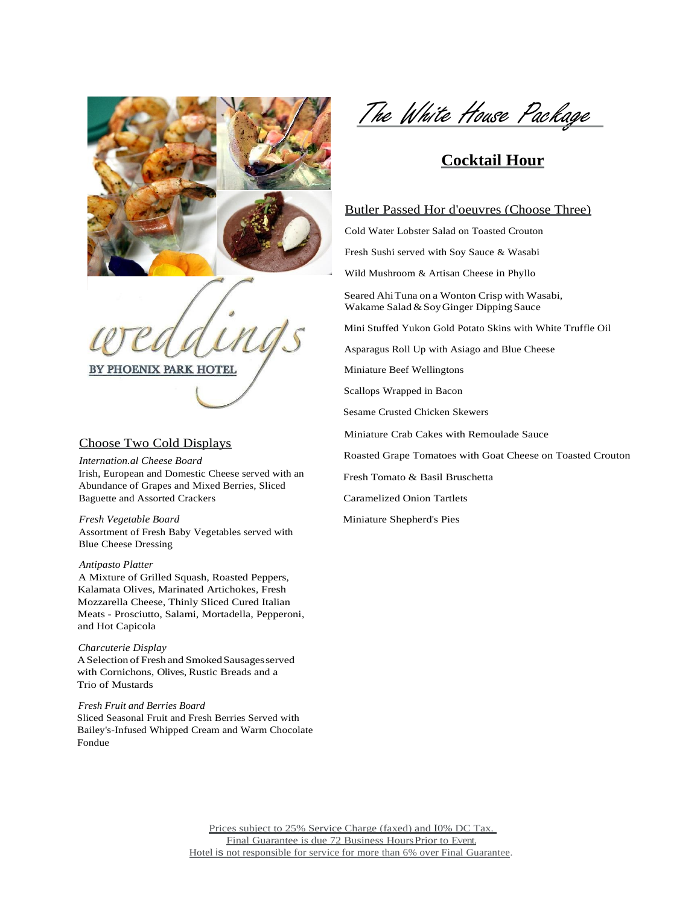

PHOENIX PARK HOTEL

## Choose Two Cold Displays

*Internation.al Cheese Board* Irish, European and Domestic Cheese served with an Abundance of Grapes and Mixed Berries, Sliced Baguette and Assorted Crackers

*Fresh Vegetable Board* Assortment of Fresh Baby Vegetables served with Blue Cheese Dressing

# *Antipasto Platter*

A Mixture of Grilled Squash, Roasted Peppers, Kalamata Olives, Marinated Artichokes, Fresh Mozzarella Cheese, Thinly Sliced Cured Italian Meats - Prosciutto, Salami, Mortadella, Pepperoni, and Hot Capicola

#### *Charcuterie Display*

A Selection of Fresh and Smoked Sausages served with Cornichons, Olives, Rustic Breads and a Trio of Mustards

### *Fresh Fruit and Berries Board*

Sliced Seasonal Fruit and Fresh Berries Served with Bailey's-Infused Whipped Cream and Warm Chocolate Fondue

The White House Package

# **Cocktail Hour**

## Butler Passed Hor d'oeuvres (Choose Three)

Cold Water Lobster Salad on Toasted Crouton

Fresh Sushi served with Soy Sauce & Wasabi

Wild Mushroom & Artisan Cheese in Phyllo

Seared AhiTuna on a Wonton Crisp with Wasabi, Wakame Salad&SoyGinger Dipping Sauce

Mini Stuffed Yukon Gold Potato Skins with White Truffle Oil

Asparagus Roll Up with Asiago and Blue Cheese

Miniature Beef Wellingtons

Scallops Wrapped in Bacon

Sesame Crusted Chicken Skewers

Miniature Crab Cakes with Remoulade Sauce

Roasted Grape Tomatoes with Goat Cheese on Toasted Crouton

Fresh Tomato & Basil Bruschetta

Caramelized Onion Tartlets

Miniature Shepherd's Pies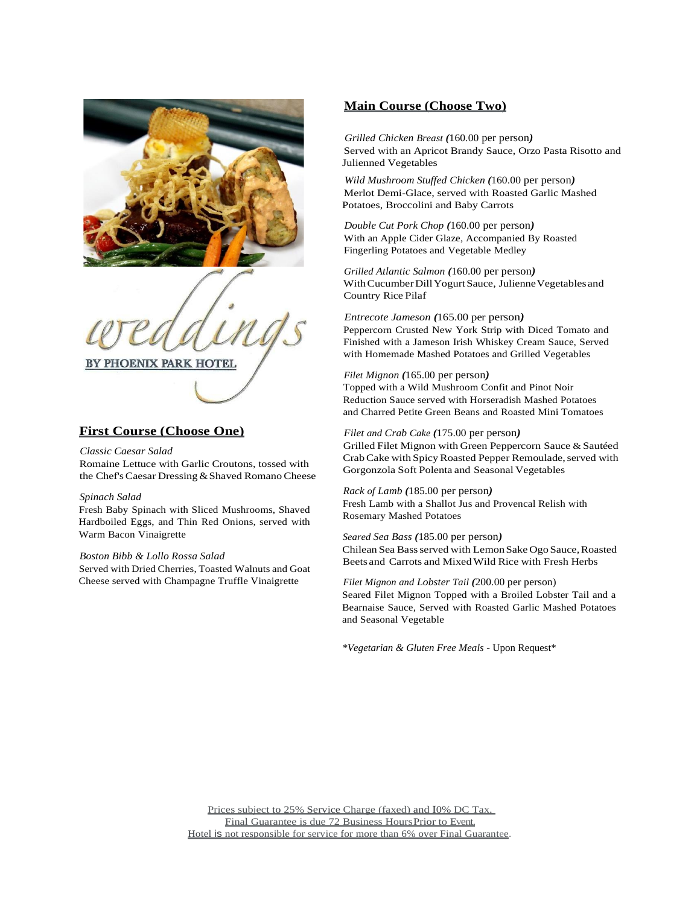

PHOENIX PARK HOTEL

# **First Course (Choose One)**

### *Classic Caesar Salad*

Romaine Lettuce with Garlic Croutons, tossed with the Chef's Caesar Dressing & Shaved Romano Cheese

### *Spinach Salad*

Fresh Baby Spinach with Sliced Mushrooms, Shaved Hardboiled Eggs, and Thin Red Onions, served with Warm Bacon Vinaigrette

### *Boston Bibb & Lollo Rossa Salad*

Served with Dried Cherries, Toasted Walnuts and Goat Cheese served with Champagne Truffle Vinaigrette

# **Main Course (Choose Two)**

*Grilled Chicken Breast (*160.00 per person*)* Served with an Apricot Brandy Sauce, Orzo Pasta Risotto and Julienned Vegetables

*Wild Mushroom Stuffed Chicken (*160.00 per person*)* Merlot Demi-Glace, served with Roasted Garlic Mashed Potatoes, Broccolini and Baby Carrots

*Double Cut Pork Chop (*160.00 per person*)* With an Apple Cider Glaze, Accompanied By Roasted Fingerling Potatoes and Vegetable Medley

*Grilled Atlantic Salmon (*160.00 per person*)* With Cucumber Dill Yogurt Sauce, Julienne Vegetables and Country Rice Pilaf

## *Entrecote Jameson (*165.00 per person*)*

Peppercorn Crusted New York Strip with Diced Tomato and Finished with a Jameson Irish Whiskey Cream Sauce, Served with Homemade Mashed Potatoes and Grilled Vegetables

### *Filet Mignon (*165.00 per person*)*

Topped with a Wild Mushroom Confit and Pinot Noir Reduction Sauce served with Horseradish Mashed Potatoes and Charred Petite Green Beans and Roasted Mini Tomatoes

### *Filet and Crab Cake (*175.00 per person*)*

Grilled Filet Mignon with Green Peppercorn Sauce & Sautéed Crab Cake with Spicy Roasted Pepper Remoulade, served with Gorgonzola Soft Polenta and Seasonal Vegetables

### *Rack of Lamb (*185.00 per person*)*

Fresh Lamb with a Shallot Jus and Provencal Relish with Rosemary Mashed Potatoes

#### *Seared Sea Bass (*185.00 per person*)*

Chilean Sea Bass served with Lemon Sake Ogo Sauce, Roasted Beets and Carrots and MixedWild Rice with Fresh Herbs

### *Filet Mignon and Lobster Tail (*200.00 per person) Seared Filet Mignon Topped with a Broiled Lobster Tail and a Bearnaise Sauce, Served with Roasted Garlic Mashed Potatoes and Seasonal Vegetable

*\*Vegetarian & Gluten Free Meals* - Upon Request\*